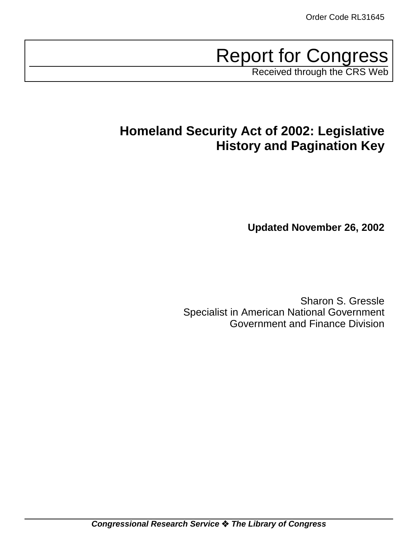# Report for Congress

Received through the CRS Web

# **Homeland Security Act of 2002: Legislative History and Pagination Key**

**Updated November 26, 2002**

Sharon S. Gressle Specialist in American National Government Government and Finance Division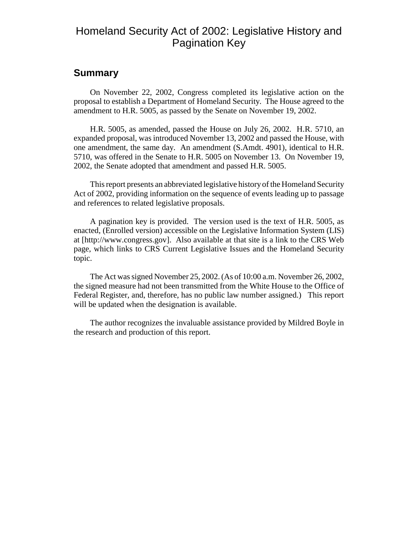## Homeland Security Act of 2002: Legislative History and Pagination Key

#### **Summary**

On November 22, 2002, Congress completed its legislative action on the proposal to establish a Department of Homeland Security. The House agreed to the amendment to H.R. 5005, as passed by the Senate on November 19, 2002.

H.R. 5005, as amended, passed the House on July 26, 2002. H.R. 5710, an expanded proposal, was introduced November 13, 2002 and passed the House, with one amendment, the same day. An amendment (S.Amdt. 4901), identical to H.R. 5710, was offered in the Senate to H.R. 5005 on November 13. On November 19, 2002, the Senate adopted that amendment and passed H.R. 5005.

This report presents an abbreviated legislative history of the Homeland Security Act of 2002, providing information on the sequence of events leading up to passage and references to related legislative proposals.

A pagination key is provided. The version used is the text of H.R. 5005, as enacted, (Enrolled version) accessible on the Legislative Information System (LIS) at [http://www.congress.gov]. Also available at that site is a link to the CRS Web page, which links to CRS Current Legislative Issues and the Homeland Security topic.

The Act was signed November 25, 2002. (As of 10:00 a.m. November 26, 2002, the signed measure had not been transmitted from the White House to the Office of Federal Register, and, therefore, has no public law number assigned.) This report will be updated when the designation is available.

The author recognizes the invaluable assistance provided by Mildred Boyle in the research and production of this report.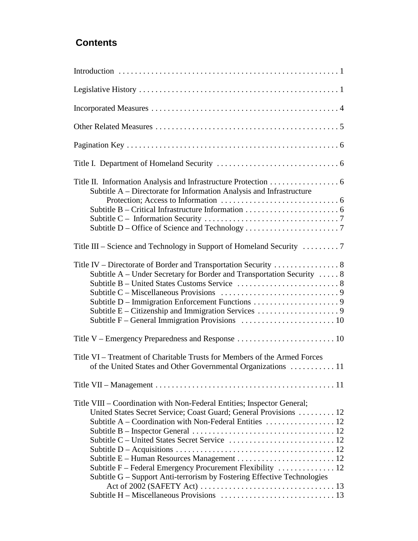# **Contents**

| Title II. Information Analysis and Infrastructure Protection 6<br>Subtitle A - Directorate for Information Analysis and Infrastructure<br>Title III – Science and Technology in Support of Homeland Security 7<br>Title V - Emergency Preparedness and Response  10<br>Title VI - Treatment of Charitable Trusts for Members of the Armed Forces<br>Title VIII – Coordination with Non-Federal Entities; Inspector General; |                                                                                                                                                          |
|-----------------------------------------------------------------------------------------------------------------------------------------------------------------------------------------------------------------------------------------------------------------------------------------------------------------------------------------------------------------------------------------------------------------------------|----------------------------------------------------------------------------------------------------------------------------------------------------------|
|                                                                                                                                                                                                                                                                                                                                                                                                                             |                                                                                                                                                          |
|                                                                                                                                                                                                                                                                                                                                                                                                                             |                                                                                                                                                          |
|                                                                                                                                                                                                                                                                                                                                                                                                                             |                                                                                                                                                          |
|                                                                                                                                                                                                                                                                                                                                                                                                                             |                                                                                                                                                          |
|                                                                                                                                                                                                                                                                                                                                                                                                                             |                                                                                                                                                          |
|                                                                                                                                                                                                                                                                                                                                                                                                                             |                                                                                                                                                          |
|                                                                                                                                                                                                                                                                                                                                                                                                                             |                                                                                                                                                          |
|                                                                                                                                                                                                                                                                                                                                                                                                                             | Subtitle A – Under Secretary for Border and Transportation Security $\dots$ . 8                                                                          |
|                                                                                                                                                                                                                                                                                                                                                                                                                             |                                                                                                                                                          |
|                                                                                                                                                                                                                                                                                                                                                                                                                             |                                                                                                                                                          |
|                                                                                                                                                                                                                                                                                                                                                                                                                             | 11                                                                                                                                                       |
| Subtitle G – Support Anti-terrorism by Fostering Effective Technologies                                                                                                                                                                                                                                                                                                                                                     | United States Secret Service; Coast Guard; General Provisions  12<br>Subtitle F – Federal Emergency Procurement Flexibility $\dots \dots \dots \dots 12$ |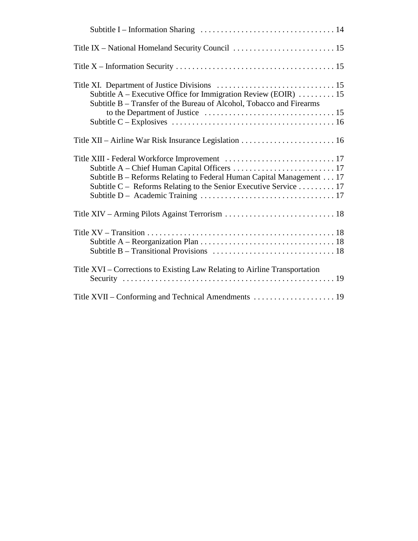| Subtitle A – Executive Office for Immigration Review (EOIR) $\dots \dots \dots 15$<br>Subtitle B - Transfer of the Bureau of Alcohol, Tobacco and Firearms |
|------------------------------------------------------------------------------------------------------------------------------------------------------------|
|                                                                                                                                                            |
|                                                                                                                                                            |
| Subtitle B – Reforms Relating to Federal Human Capital Management 17<br>Subtitle $C -$ Reforms Relating to the Senior Executive Service 17                 |
|                                                                                                                                                            |
|                                                                                                                                                            |
| Title XVI - Corrections to Existing Law Relating to Airline Transportation                                                                                 |
|                                                                                                                                                            |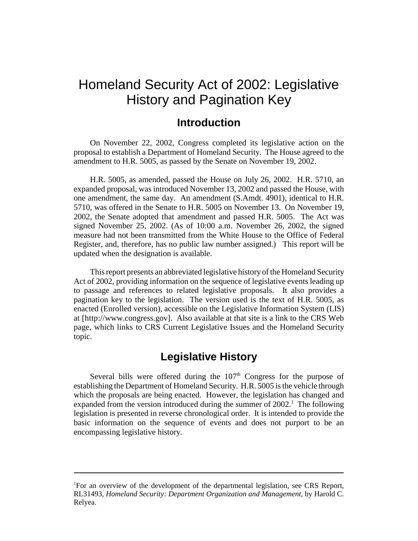# Homeland Security Act of 2002: Legislative History and Pagination Key

## **Introduction**

On November 22, 2002, Congress completed its legislative action on the proposal to establish a Department of Homeland Security. The House agreed to the amendment to H.R. 5005, as passed by the Senate on November 19, 2002.

H.R. 5005, as amended, passed the House on July 26, 2002. H.R. 5710, an expanded proposal, was introduced November 13, 2002 and passed the House, with one amendment, the same day. An amendment (S.Amdt. 4901), identical to H.R. 5710, was offered in the Senate to H.R. 5005 on November 13. On November 19, 2002, the Senate adopted that amendment and passed H.R. 5005. The Act was signed November 25, 2002. (As of 10:00 a.m. November 26, 2002, the signed measure had not been transmitted from the White House to the Office of Federal Register, and, therefore, has no public law number assigned.) This report will be updated when the designation is available.

This report presents an abbreviated legislative history of the Homeland Security Act of 2002, providing information on the sequence of legislative events leading up to passage and references to related legislative proposals. It also provides a pagination key to the legislation. The version used is the text of H.R. 5005, as enacted (Enrolled version), accessible on the Legislative Information System (LIS) at [http://www.congress.gov]. Also available at that site is a link to the CRS Web page, which links to CRS Current Legislative Issues and the Homeland Security topic.

## **Legislative History**

Several bills were offered during the  $107<sup>th</sup>$  Congress for the purpose of establishing the Department of Homeland Security. H.R. 5005 is the vehicle through which the proposals are being enacted. However, the legislation has changed and expanded from the version introduced during the summer of  $2002<sup>1</sup>$ . The following legislation is presented in reverse chronological order. It is intended to provide the basic information on the sequence of events and does not purport to be an encompassing legislative history.

<sup>&</sup>lt;sup>1</sup>For an overview of the development of the departmental legislation, see CRS Report, RL31493, *Homeland Security: Department Organization and Management*, by Harold C. Relyea.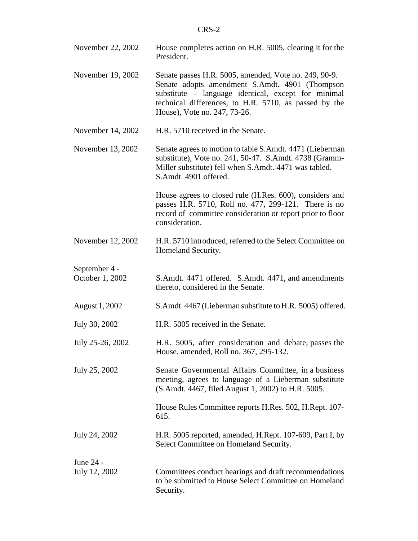| November 22, 2002                | House completes action on H.R. 5005, clearing it for the<br>President.                                                                                                                                                                                  |
|----------------------------------|---------------------------------------------------------------------------------------------------------------------------------------------------------------------------------------------------------------------------------------------------------|
| November 19, 2002                | Senate passes H.R. 5005, amended, Vote no. 249, 90-9.<br>Senate adopts amendment S.Amdt. 4901 (Thompson<br>substitute – language identical, except for minimal<br>technical differences, to H.R. 5710, as passed by the<br>House), Vote no. 247, 73-26. |
| November 14, 2002                | H.R. 5710 received in the Senate.                                                                                                                                                                                                                       |
| November 13, 2002                | Senate agrees to motion to table S.Amdt. 4471 (Lieberman<br>substitute), Vote no. 241, 50-47. S.Amdt. 4738 (Gramm-<br>Miller substitute) fell when S.Amdt. 4471 was tabled.<br>S.Amdt. 4901 offered.                                                    |
|                                  | House agrees to closed rule (H.Res. 600), considers and<br>passes H.R. 5710, Roll no. 477, 299-121. There is no<br>record of committee consideration or report prior to floor<br>consideration.                                                         |
| November 12, 2002                | H.R. 5710 introduced, referred to the Select Committee on<br>Homeland Security.                                                                                                                                                                         |
| September 4 -<br>October 1, 2002 | S.Amdt. 4471 offered. S.Amdt. 4471, and amendments<br>thereto, considered in the Senate.                                                                                                                                                                |
| August 1, 2002                   | S.Amdt. 4467 (Lieberman substitute to H.R. 5005) offered.                                                                                                                                                                                               |
| July 30, 2002                    | H.R. 5005 received in the Senate.                                                                                                                                                                                                                       |
| July 25-26, 2002                 | H.R. 5005, after consideration and debate, passes the<br>House, amended, Roll no. 367, 295-132.                                                                                                                                                         |
| July 25, 2002                    | Senate Governmental Affairs Committee, in a business<br>meeting, agrees to language of a Lieberman substitute<br>(S.Amdt. 4467, filed August 1, 2002) to H.R. 5005.                                                                                     |
|                                  | House Rules Committee reports H.Res. 502, H.Rept. 107-<br>615.                                                                                                                                                                                          |
| July 24, 2002                    | H.R. 5005 reported, amended, H.Rept. 107-609, Part I, by<br>Select Committee on Homeland Security.                                                                                                                                                      |
| June 24 -<br>July 12, 2002       | Committees conduct hearings and draft recommendations<br>to be submitted to House Select Committee on Homeland<br>Security.                                                                                                                             |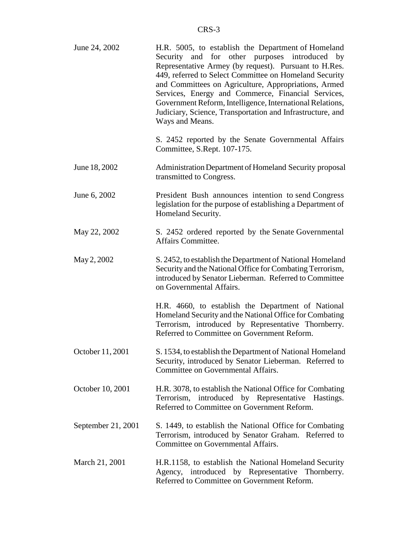| June 24, 2002      | H.R. 5005, to establish the Department of Homeland<br>Security and for other purposes introduced by<br>Representative Armey (by request). Pursuant to H.Res.<br>449, referred to Select Committee on Homeland Security<br>and Committees on Agriculture, Appropriations, Armed<br>Services, Energy and Commerce, Financial Services,<br>Government Reform, Intelligence, International Relations,<br>Judiciary, Science, Transportation and Infrastructure, and<br>Ways and Means. |
|--------------------|------------------------------------------------------------------------------------------------------------------------------------------------------------------------------------------------------------------------------------------------------------------------------------------------------------------------------------------------------------------------------------------------------------------------------------------------------------------------------------|
|                    | S. 2452 reported by the Senate Governmental Affairs<br>Committee, S.Rept. 107-175.                                                                                                                                                                                                                                                                                                                                                                                                 |
| June 18, 2002      | Administration Department of Homeland Security proposal<br>transmitted to Congress.                                                                                                                                                                                                                                                                                                                                                                                                |
| June 6, 2002       | President Bush announces intention to send Congress<br>legislation for the purpose of establishing a Department of<br>Homeland Security.                                                                                                                                                                                                                                                                                                                                           |
| May 22, 2002       | S. 2452 ordered reported by the Senate Governmental<br>Affairs Committee.                                                                                                                                                                                                                                                                                                                                                                                                          |
| May 2, 2002        | S. 2452, to establish the Department of National Homeland<br>Security and the National Office for Combating Terrorism,<br>introduced by Senator Lieberman. Referred to Committee<br>on Governmental Affairs.                                                                                                                                                                                                                                                                       |
|                    | H.R. 4660, to establish the Department of National<br>Homeland Security and the National Office for Combating<br>Terrorism, introduced by Representative Thornberry.<br>Referred to Committee on Government Reform.                                                                                                                                                                                                                                                                |
| October 11, 2001   | S. 1534, to establish the Department of National Homeland<br>Security, introduced by Senator Lieberman. Referred to<br>Committee on Governmental Affairs.                                                                                                                                                                                                                                                                                                                          |
| October 10, 2001   | H.R. 3078, to establish the National Office for Combating<br>Terrorism, introduced by Representative Hastings.<br>Referred to Committee on Government Reform.                                                                                                                                                                                                                                                                                                                      |
| September 21, 2001 | S. 1449, to establish the National Office for Combating<br>Terrorism, introduced by Senator Graham. Referred to<br>Committee on Governmental Affairs.                                                                                                                                                                                                                                                                                                                              |
| March 21, 2001     | H.R.1158, to establish the National Homeland Security<br>Agency, introduced by Representative Thornberry.<br>Referred to Committee on Government Reform.                                                                                                                                                                                                                                                                                                                           |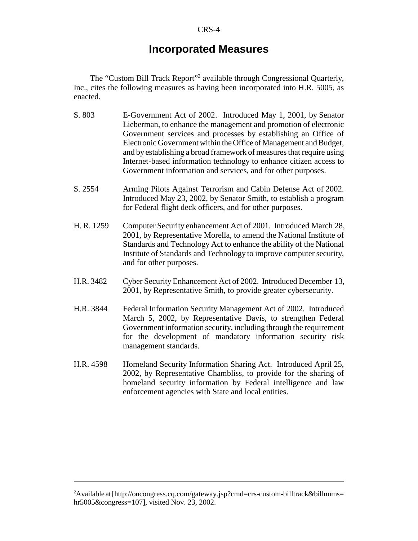#### **Incorporated Measures**

The "Custom Bill Track Report"<sup>2</sup> available through Congressional Quarterly, Inc., cites the following measures as having been incorporated into H.R. 5005, as enacted.

- S. 803 E-Government Act of 2002. Introduced May 1, 2001, by Senator Lieberman, to enhance the management and promotion of electronic Government services and processes by establishing an Office of Electronic Government within the Office of Management and Budget, and by establishing a broad framework of measures that require using Internet-based information technology to enhance citizen access to Government information and services, and for other purposes.
- S. 2554 Arming Pilots Against Terrorism and Cabin Defense Act of 2002. Introduced May 23, 2002, by Senator Smith, to establish a program for Federal flight deck officers, and for other purposes.
- H. R. 1259 Computer Security enhancement Act of 2001. Introduced March 28, 2001, by Representative Morella, to amend the National Institute of Standards and Technology Act to enhance the ability of the National Institute of Standards and Technology to improve computer security, and for other purposes.
- H.R. 3482 Cyber Security Enhancement Act of 2002. Introduced December 13, 2001, by Representative Smith, to provide greater cybersecurity.
- H.R. 3844 Federal Information Security Management Act of 2002. Introduced March 5, 2002, by Representative Davis, to strengthen Federal Government information security, including through the requirement for the development of mandatory information security risk management standards.
- H.R. 4598 Homeland Security Information Sharing Act. Introduced April 25, 2002, by Representative Chambliss, to provide for the sharing of homeland security information by Federal intelligence and law enforcement agencies with State and local entities.

<sup>&</sup>lt;sup>2</sup>Available at [http://oncongress.cq.com/gateway.jsp?cmd=crs-custom-billtrack&billnums= hr5005&congress=107], visited Nov. 23, 2002.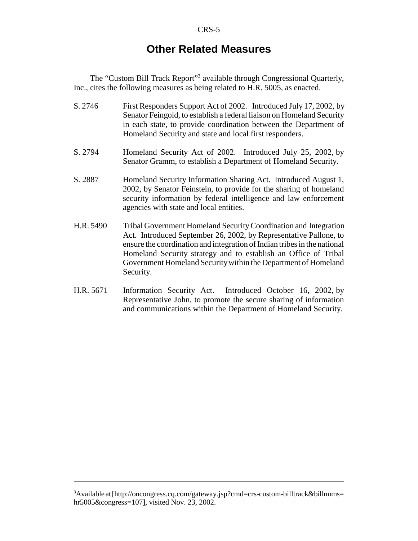#### **Other Related Measures**

The "Custom Bill Track Report"<sup>3</sup> available through Congressional Quarterly, Inc., cites the following measures as being related to H.R. 5005, as enacted.

- S. 2746 First Responders Support Act of 2002. Introduced July 17, 2002, by Senator Feingold, to establish a federal liaison on Homeland Security in each state, to provide coordination between the Department of Homeland Security and state and local first responders.
- S. 2794 Homeland Security Act of 2002. Introduced July 25, 2002, by Senator Gramm, to establish a Department of Homeland Security.
- S. 2887 Homeland Security Information Sharing Act. Introduced August 1, 2002, by Senator Feinstein, to provide for the sharing of homeland security information by federal intelligence and law enforcement agencies with state and local entities.
- H.R. 5490 Tribal Government Homeland Security Coordination and Integration Act. Introduced September 26, 2002, by Representative Pallone, to ensure the coordination and integration of Indian tribes in the national Homeland Security strategy and to establish an Office of Tribal Government Homeland Security within the Department of Homeland Security.
- H.R. 5671 Information Security Act. Introduced October 16, 2002, by Representative John, to promote the secure sharing of information and communications within the Department of Homeland Security.

<sup>&</sup>lt;sup>3</sup>Available at [http://oncongress.cq.com/gateway.jsp?cmd=crs-custom-billtrack&billnums= hr5005&congress=107], visited Nov. 23, 2002.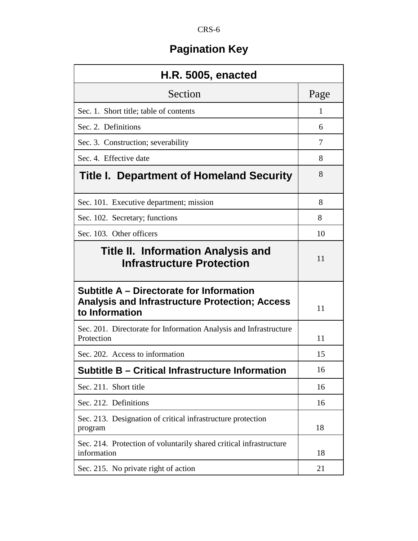# **Pagination Key**

| <b>H.R. 5005, enacted</b>                                                                                           |      |
|---------------------------------------------------------------------------------------------------------------------|------|
| Section                                                                                                             | Page |
| Sec. 1. Short title; table of contents                                                                              | 1    |
| Sec. 2. Definitions                                                                                                 | 6    |
| Sec. 3. Construction; severability                                                                                  | 7    |
| Sec. 4. Effective date                                                                                              | 8    |
| Title I. Department of Homeland Security                                                                            | 8    |
| Sec. 101. Executive department; mission                                                                             | 8    |
| Sec. 102. Secretary; functions                                                                                      | 8    |
| Sec. 103. Other officers                                                                                            | 10   |
| <b>Title II. Information Analysis and</b><br><b>Infrastructure Protection</b>                                       | 11   |
| Subtitle A – Directorate for Information<br><b>Analysis and Infrastructure Protection; Access</b><br>to Information | 11   |
| Sec. 201. Directorate for Information Analysis and Infrastructure<br>Protection                                     | 11   |
| Sec. 202. Access to information                                                                                     | 15   |
| Subtitle B - Critical Infrastructure Information                                                                    | 16   |
| Sec. 211. Short title                                                                                               | 16   |
| Sec. 212. Definitions                                                                                               | 16   |
| Sec. 213. Designation of critical infrastructure protection<br>program                                              | 18   |
| Sec. 214. Protection of voluntarily shared critical infrastructure<br>information                                   | 18   |
| Sec. 215. No private right of action                                                                                | 21   |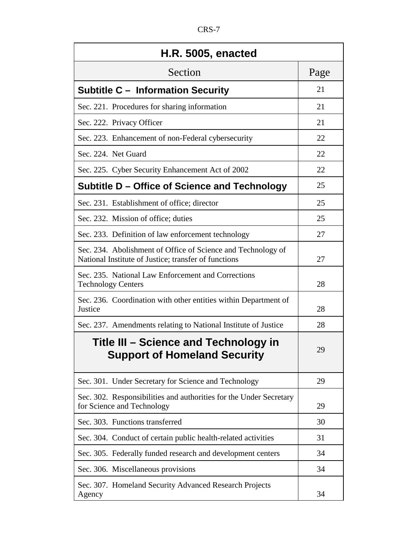| <b>H.R. 5005, enacted</b>                                                                                            |      |
|----------------------------------------------------------------------------------------------------------------------|------|
| Section                                                                                                              | Page |
| <b>Subtitle C - Information Security</b>                                                                             | 21   |
| Sec. 221. Procedures for sharing information                                                                         | 21   |
| Sec. 222. Privacy Officer                                                                                            | 21   |
| Sec. 223. Enhancement of non-Federal cybersecurity                                                                   | 22   |
| Sec. 224. Net Guard                                                                                                  | 22   |
| Sec. 225. Cyber Security Enhancement Act of 2002                                                                     | 22   |
| Subtitle D – Office of Science and Technology                                                                        | 25   |
| Sec. 231. Establishment of office; director                                                                          | 25   |
| Sec. 232. Mission of office; duties                                                                                  | 25   |
| Sec. 233. Definition of law enforcement technology                                                                   | 27   |
| Sec. 234. Abolishment of Office of Science and Technology of<br>National Institute of Justice; transfer of functions | 27   |
| Sec. 235. National Law Enforcement and Corrections<br><b>Technology Centers</b>                                      | 28   |
| Sec. 236. Coordination with other entities within Department of<br>Justice                                           | 28   |
| Sec. 237. Amendments relating to National Institute of Justice                                                       | 28   |
| Title III – Science and Technology in<br><b>Support of Homeland Security</b>                                         | 29   |
| Sec. 301. Under Secretary for Science and Technology                                                                 | 29   |
| Sec. 302. Responsibilities and authorities for the Under Secretary<br>for Science and Technology                     | 29   |
| Sec. 303. Functions transferred                                                                                      | 30   |
| Sec. 304. Conduct of certain public health-related activities                                                        | 31   |
| Sec. 305. Federally funded research and development centers                                                          | 34   |
| Sec. 306. Miscellaneous provisions                                                                                   | 34   |
| Sec. 307. Homeland Security Advanced Research Projects<br>Agency                                                     | 34   |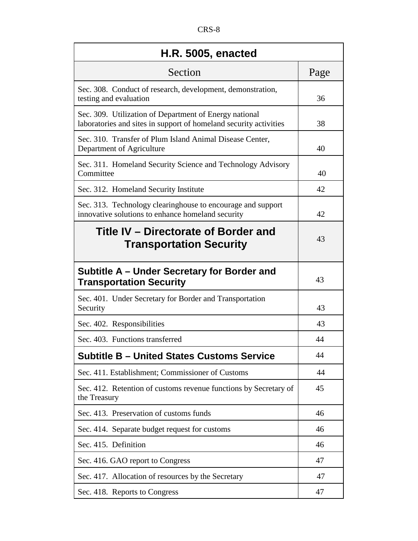| <b>H.R. 5005, enacted</b>                                                                                                   |      |
|-----------------------------------------------------------------------------------------------------------------------------|------|
| Section                                                                                                                     | Page |
| Sec. 308. Conduct of research, development, demonstration,<br>testing and evaluation                                        | 36   |
| Sec. 309. Utilization of Department of Energy national<br>laboratories and sites in support of homeland security activities | 38   |
| Sec. 310. Transfer of Plum Island Animal Disease Center,<br>Department of Agriculture                                       | 40   |
| Sec. 311. Homeland Security Science and Technology Advisory<br>Committee                                                    | 40   |
| Sec. 312. Homeland Security Institute                                                                                       | 42   |
| Sec. 313. Technology clearinghouse to encourage and support<br>innovative solutions to enhance homeland security            | 42   |
| Title IV – Directorate of Border and<br><b>Transportation Security</b>                                                      | 43   |
| Subtitle A – Under Secretary for Border and<br><b>Transportation Security</b>                                               | 43   |
| Sec. 401. Under Secretary for Border and Transportation<br>Security                                                         | 43   |
| Sec. 402. Responsibilities                                                                                                  | 43   |
| Sec. 403. Functions transferred                                                                                             | 44   |
| <b>Subtitle B - United States Customs Service</b>                                                                           | 44   |
| Sec. 411. Establishment; Commissioner of Customs                                                                            | 44   |
| Sec. 412. Retention of customs revenue functions by Secretary of<br>the Treasury                                            | 45   |
| Sec. 413. Preservation of customs funds                                                                                     | 46   |
| Sec. 414. Separate budget request for customs                                                                               | 46   |
| Sec. 415. Definition                                                                                                        | 46   |
| Sec. 416. GAO report to Congress                                                                                            | 47   |
| Sec. 417. Allocation of resources by the Secretary                                                                          | 47   |
| Sec. 418. Reports to Congress                                                                                               | 47   |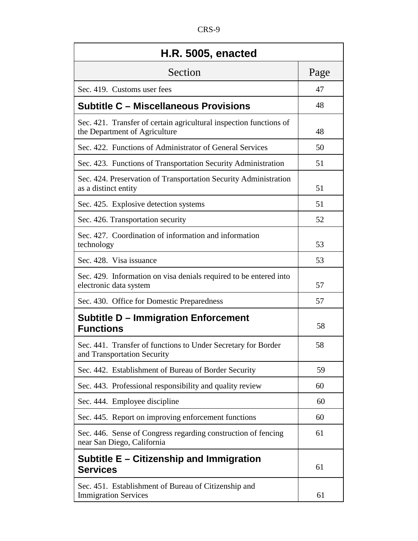|--|

| <b>H.R. 5005, enacted</b>                                                                           |      |
|-----------------------------------------------------------------------------------------------------|------|
| Section                                                                                             | Page |
| Sec. 419. Customs user fees                                                                         | 47   |
| <b>Subtitle C – Miscellaneous Provisions</b>                                                        | 48   |
| Sec. 421. Transfer of certain agricultural inspection functions of<br>the Department of Agriculture | 48   |
| Sec. 422. Functions of Administrator of General Services                                            | 50   |
| Sec. 423. Functions of Transportation Security Administration                                       | 51   |
| Sec. 424. Preservation of Transportation Security Administration<br>as a distinct entity            | 51   |
| Sec. 425. Explosive detection systems                                                               | 51   |
| Sec. 426. Transportation security                                                                   | 52   |
| Sec. 427. Coordination of information and information<br>technology                                 | 53   |
| Sec. 428. Visa issuance                                                                             | 53   |
| Sec. 429. Information on visa denials required to be entered into<br>electronic data system         | 57   |
| Sec. 430. Office for Domestic Preparedness                                                          | 57   |
| <b>Subtitle D - Immigration Enforcement</b><br><b>Functions</b>                                     | 58   |
| Sec. 441. Transfer of functions to Under Secretary for Border<br>and Transportation Security        | 58   |
| Sec. 442. Establishment of Bureau of Border Security                                                | 59   |
| Sec. 443. Professional responsibility and quality review                                            | 60   |
| Sec. 444. Employee discipline                                                                       | 60   |
| Sec. 445. Report on improving enforcement functions                                                 | 60   |
| Sec. 446. Sense of Congress regarding construction of fencing<br>near San Diego, California         | 61   |
| Subtitle E – Citizenship and Immigration<br><b>Services</b>                                         | 61   |
| Sec. 451. Establishment of Bureau of Citizenship and<br><b>Immigration Services</b>                 | 61   |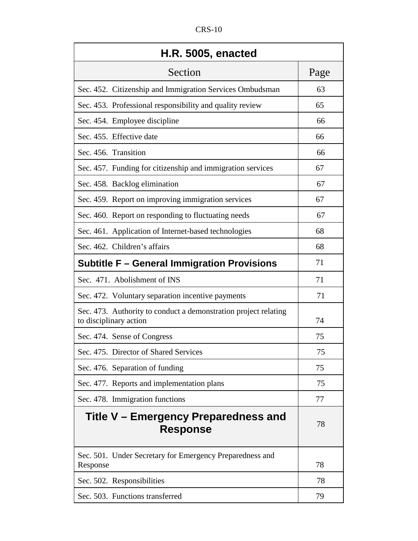| <b>H.R. 5005, enacted</b>                                                                 |      |
|-------------------------------------------------------------------------------------------|------|
| Section                                                                                   | Page |
| Sec. 452. Citizenship and Immigration Services Ombudsman                                  | 63   |
| Sec. 453. Professional responsibility and quality review                                  | 65   |
| Sec. 454. Employee discipline                                                             | 66   |
| Sec. 455. Effective date                                                                  | 66   |
| Sec. 456. Transition                                                                      | 66   |
| Sec. 457. Funding for citizenship and immigration services                                | 67   |
| Sec. 458. Backlog elimination                                                             | 67   |
| Sec. 459. Report on improving immigration services                                        | 67   |
| Sec. 460. Report on responding to fluctuating needs                                       | 67   |
| Sec. 461. Application of Internet-based technologies                                      | 68   |
| Sec. 462. Children's affairs                                                              | 68   |
| <b>Subtitle F - General Immigration Provisions</b>                                        | 71   |
| Sec. 471. Abolishment of INS                                                              | 71   |
| Sec. 472. Voluntary separation incentive payments                                         | 71   |
| Sec. 473. Authority to conduct a demonstration project relating<br>to disciplinary action | 74   |
| Sec. 474. Sense of Congress                                                               | 75   |
| Sec. 475. Director of Shared Services                                                     | 75   |
| Sec. 476. Separation of funding                                                           | 75   |
| Sec. 477. Reports and implementation plans                                                | 75   |
| Sec. 478. Immigration functions                                                           | 77   |
| Title V - Emergency Preparedness and<br><b>Response</b>                                   | 78   |
| Sec. 501. Under Secretary for Emergency Preparedness and<br>Response                      | 78   |
| Sec. 502. Responsibilities                                                                | 78   |
| Sec. 503. Functions transferred                                                           | 79   |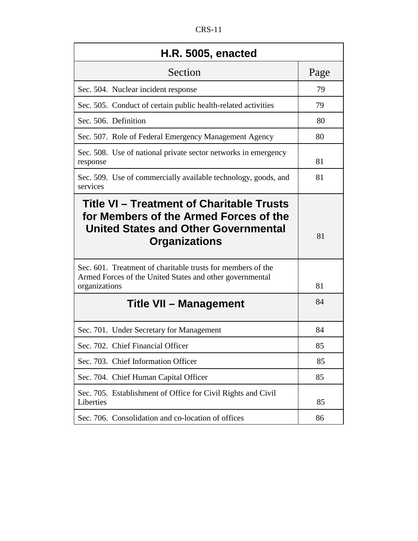| <b>H.R. 5005, enacted</b>                                                                                                                                  |      |
|------------------------------------------------------------------------------------------------------------------------------------------------------------|------|
| Section                                                                                                                                                    | Page |
| Sec. 504. Nuclear incident response                                                                                                                        | 79   |
| Sec. 505. Conduct of certain public health-related activities                                                                                              | 79   |
| Sec. 506. Definition                                                                                                                                       | 80   |
| Sec. 507. Role of Federal Emergency Management Agency                                                                                                      | 80   |
| Sec. 508. Use of national private sector networks in emergency<br>response                                                                                 | 81   |
| Sec. 509. Use of commercially available technology, goods, and<br>services                                                                                 | 81   |
| Title VI – Treatment of Charitable Trusts<br>for Members of the Armed Forces of the<br><b>United States and Other Governmental</b><br><b>Organizations</b> | 81   |
| Sec. 601. Treatment of charitable trusts for members of the<br>Armed Forces of the United States and other governmental<br>organizations                   | 81   |
| <b>Title VII - Management</b>                                                                                                                              | 84   |
| Sec. 701. Under Secretary for Management                                                                                                                   | 84   |
| Sec. 702. Chief Financial Officer                                                                                                                          | 85   |
| Sec. 703. Chief Information Officer                                                                                                                        | 85   |
| Sec. 704. Chief Human Capital Officer                                                                                                                      | 85   |
| Sec. 705. Establishment of Office for Civil Rights and Civil<br>Liberties                                                                                  | 85   |
| Sec. 706. Consolidation and co-location of offices                                                                                                         | 86   |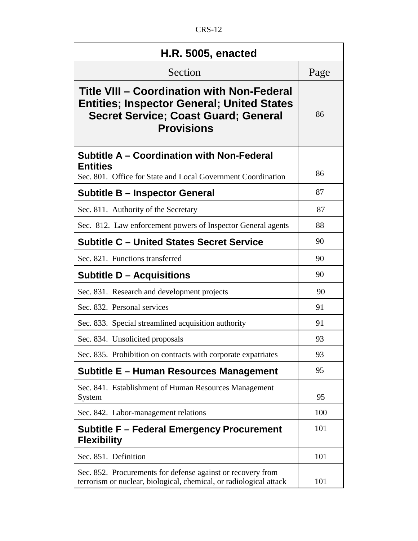| <b>H.R. 5005, enacted</b>                                                                                                                                                  |      |
|----------------------------------------------------------------------------------------------------------------------------------------------------------------------------|------|
| Section                                                                                                                                                                    | Page |
| <b>Title VIII - Coordination with Non-Federal</b><br><b>Entities; Inspector General; United States</b><br><b>Secret Service; Coast Guard; General</b><br><b>Provisions</b> | 86   |
| Subtitle A – Coordination with Non-Federal                                                                                                                                 |      |
| <b>Entities</b><br>Sec. 801. Office for State and Local Government Coordination                                                                                            | 86   |
| Subtitle B – Inspector General                                                                                                                                             | 87   |
| Sec. 811. Authority of the Secretary                                                                                                                                       | 87   |
| Sec. 812. Law enforcement powers of Inspector General agents                                                                                                               | 88   |
| <b>Subtitle C - United States Secret Service</b>                                                                                                                           | 90   |
| Sec. 821. Functions transferred                                                                                                                                            | 90   |
| <b>Subtitle D – Acquisitions</b>                                                                                                                                           | 90   |
| Sec. 831. Research and development projects                                                                                                                                | 90   |
| Sec. 832. Personal services                                                                                                                                                | 91   |
| Sec. 833. Special streamlined acquisition authority                                                                                                                        | 91   |
| Sec. 834. Unsolicited proposals                                                                                                                                            | 93   |
| Sec. 835. Prohibition on contracts with corporate expatriates                                                                                                              | 93   |
| Subtitle E - Human Resources Management                                                                                                                                    | 95   |
| Sec. 841. Establishment of Human Resources Management<br>System                                                                                                            | 95   |
| Sec. 842. Labor-management relations                                                                                                                                       | 100  |
| <b>Subtitle F - Federal Emergency Procurement</b><br><b>Flexibility</b>                                                                                                    | 101  |
| Sec. 851. Definition                                                                                                                                                       | 101  |
| Sec. 852. Procurements for defense against or recovery from<br>terrorism or nuclear, biological, chemical, or radiological attack                                          | 101  |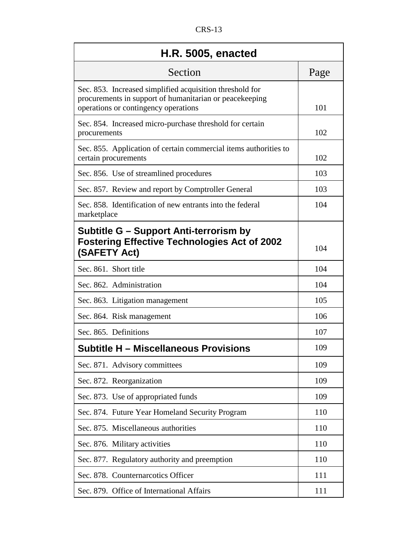| <b>H.R. 5005, enacted</b>                                                                                                                                   |      |
|-------------------------------------------------------------------------------------------------------------------------------------------------------------|------|
| Section                                                                                                                                                     | Page |
| Sec. 853. Increased simplified acquisition threshold for<br>procurements in support of humanitarian or peacekeeping<br>operations or contingency operations | 101  |
| Sec. 854. Increased micro-purchase threshold for certain<br>procurements                                                                                    | 102  |
| Sec. 855. Application of certain commercial items authorities to<br>certain procurements                                                                    | 102  |
| Sec. 856. Use of streamlined procedures                                                                                                                     | 103  |
| Sec. 857. Review and report by Comptroller General                                                                                                          | 103  |
| Sec. 858. Identification of new entrants into the federal<br>marketplace                                                                                    | 104  |
| Subtitle G – Support Anti-terrorism by<br><b>Fostering Effective Technologies Act of 2002</b><br>(SAFETY Act)                                               | 104  |
| Sec. 861. Short title                                                                                                                                       | 104  |
| Sec. 862. Administration                                                                                                                                    | 104  |
| Sec. 863. Litigation management                                                                                                                             | 105  |
| Sec. 864. Risk management                                                                                                                                   | 106  |
| Sec. 865. Definitions                                                                                                                                       | 107  |
| Subtitle H – Miscellaneous Provisions                                                                                                                       | 109  |
| Sec. 871. Advisory committees                                                                                                                               | 109  |
| Sec. 872. Reorganization                                                                                                                                    | 109  |
| Sec. 873. Use of appropriated funds                                                                                                                         | 109  |
| Sec. 874. Future Year Homeland Security Program                                                                                                             | 110  |
| Sec. 875. Miscellaneous authorities                                                                                                                         | 110  |
| Sec. 876. Military activities                                                                                                                               | 110  |
| Sec. 877. Regulatory authority and preemption                                                                                                               | 110  |
| Sec. 878. Counternarcotics Officer                                                                                                                          | 111  |
| Sec. 879. Office of International Affairs                                                                                                                   | 111  |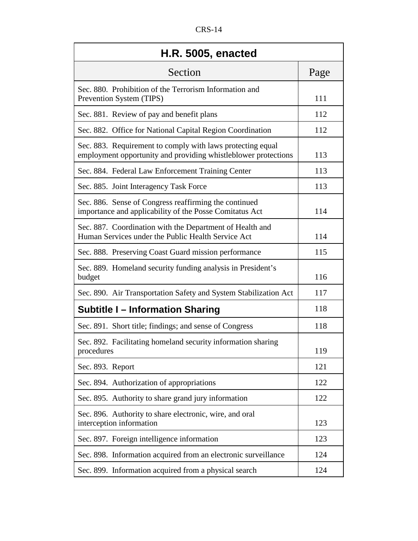| <b>H.R. 5005, enacted</b>                                                                                                    |      |
|------------------------------------------------------------------------------------------------------------------------------|------|
| Section                                                                                                                      | Page |
| Sec. 880. Prohibition of the Terrorism Information and<br>Prevention System (TIPS)                                           | 111  |
| Sec. 881. Review of pay and benefit plans                                                                                    | 112  |
| Sec. 882. Office for National Capital Region Coordination                                                                    | 112  |
| Sec. 883. Requirement to comply with laws protecting equal<br>employment opportunity and providing whistleblower protections | 113  |
| Sec. 884. Federal Law Enforcement Training Center                                                                            | 113  |
| Sec. 885. Joint Interagency Task Force                                                                                       | 113  |
| Sec. 886. Sense of Congress reaffirming the continued<br>importance and applicability of the Posse Comitatus Act             | 114  |
| Sec. 887. Coordination with the Department of Health and<br>Human Services under the Public Health Service Act               | 114  |
| Sec. 888. Preserving Coast Guard mission performance                                                                         | 115  |
| Sec. 889. Homeland security funding analysis in President's<br>budget                                                        | 116  |
| Sec. 890. Air Transportation Safety and System Stabilization Act                                                             | 117  |
| <b>Subtitle I - Information Sharing</b>                                                                                      | 118  |
| Sec. 891. Short title; findings; and sense of Congress                                                                       | 118  |
| Sec. 892. Facilitating homeland security information sharing<br>procedures                                                   | 119  |
| Sec. 893. Report                                                                                                             | 121  |
| Sec. 894. Authorization of appropriations                                                                                    | 122  |
| Sec. 895. Authority to share grand jury information                                                                          | 122  |
| Sec. 896. Authority to share electronic, wire, and oral<br>interception information                                          | 123  |
| Sec. 897. Foreign intelligence information                                                                                   | 123  |
| Sec. 898. Information acquired from an electronic surveillance                                                               | 124  |
| Sec. 899. Information acquired from a physical search                                                                        | 124  |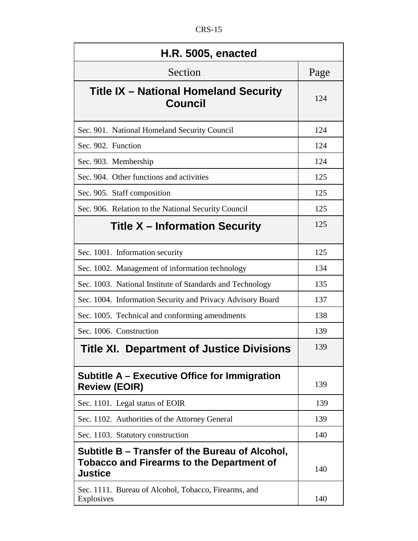| <b>H.R. 5005, enacted</b>                                                                                             |      |
|-----------------------------------------------------------------------------------------------------------------------|------|
| Section                                                                                                               | Page |
| <b>Title IX - National Homeland Security</b><br><b>Council</b>                                                        | 124  |
| Sec. 901. National Homeland Security Council                                                                          | 124  |
| Sec. 902. Function                                                                                                    | 124  |
| Sec. 903. Membership                                                                                                  | 124  |
| Sec. 904. Other functions and activities                                                                              | 125  |
| Sec. 905. Staff composition                                                                                           | 125  |
| Sec. 906. Relation to the National Security Council                                                                   | 125  |
| <b>Title X - Information Security</b>                                                                                 | 125  |
| Sec. 1001. Information security                                                                                       | 125  |
| Sec. 1002. Management of information technology                                                                       | 134  |
| Sec. 1003. National Institute of Standards and Technology                                                             | 135  |
| Sec. 1004. Information Security and Privacy Advisory Board                                                            | 137  |
| Sec. 1005. Technical and conforming amendments                                                                        | 138  |
| Sec. 1006. Construction                                                                                               | 139  |
| Title XI. Department of Justice Divisions                                                                             | 139  |
| Subtitle A – Executive Office for Immigration<br><b>Review (EOIR)</b>                                                 | 139  |
| Sec. 1101. Legal status of EOIR                                                                                       | 139  |
| Sec. 1102. Authorities of the Attorney General                                                                        | 139  |
| Sec. 1103. Statutory construction                                                                                     | 140  |
| Subtitle B – Transfer of the Bureau of Alcohol,<br><b>Tobacco and Firearms to the Department of</b><br><b>Justice</b> | 140  |
| Sec. 1111. Bureau of Alcohol, Tobacco, Firearms, and<br>Explosives                                                    | 140  |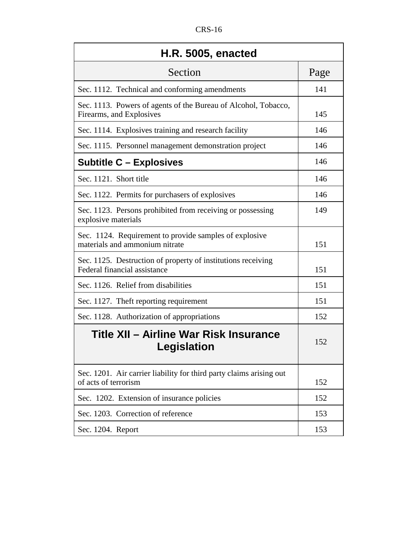| <b>H.R. 5005, enacted</b>                                                                    |      |
|----------------------------------------------------------------------------------------------|------|
| Section                                                                                      | Page |
| Sec. 1112. Technical and conforming amendments                                               | 141  |
| Sec. 1113. Powers of agents of the Bureau of Alcohol, Tobacco,<br>Firearms, and Explosives   | 145  |
| Sec. 1114. Explosives training and research facility                                         | 146  |
| Sec. 1115. Personnel management demonstration project                                        | 146  |
| <b>Subtitle C - Explosives</b>                                                               | 146  |
| Sec. 1121. Short title                                                                       | 146  |
| Sec. 1122. Permits for purchasers of explosives                                              | 146  |
| Sec. 1123. Persons prohibited from receiving or possessing<br>explosive materials            | 149  |
| Sec. 1124. Requirement to provide samples of explosive<br>materials and ammonium nitrate     | 151  |
| Sec. 1125. Destruction of property of institutions receiving<br>Federal financial assistance | 151  |
| Sec. 1126. Relief from disabilities                                                          | 151  |
| Sec. 1127. Theft reporting requirement                                                       | 151  |
| Sec. 1128. Authorization of appropriations                                                   | 152  |
| Title XII – Airline War Risk Insurance<br>Legislation                                        | 152  |
| Sec. 1201. Air carrier liability for third party claims arising out<br>of acts of terrorism  | 152  |
| Sec. 1202. Extension of insurance policies                                                   | 152  |
| Sec. 1203. Correction of reference                                                           | 153  |
| Sec. 1204. Report                                                                            | 153  |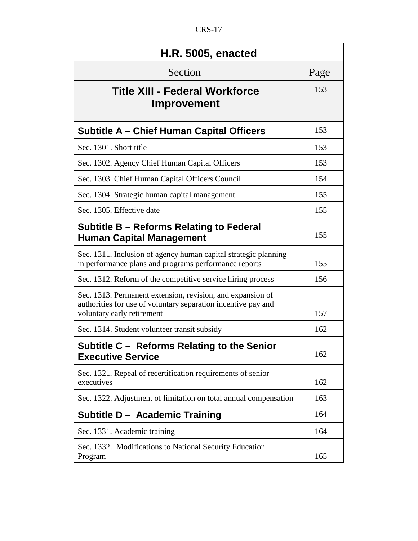| <b>H.R. 5005, enacted</b>                                                                                                                                 |      |
|-----------------------------------------------------------------------------------------------------------------------------------------------------------|------|
| Section                                                                                                                                                   | Page |
| <b>Title XIII - Federal Workforce</b><br><b>Improvement</b>                                                                                               | 153  |
| Subtitle A – Chief Human Capital Officers                                                                                                                 | 153  |
| Sec. 1301. Short title                                                                                                                                    | 153  |
| Sec. 1302. Agency Chief Human Capital Officers                                                                                                            | 153  |
| Sec. 1303. Chief Human Capital Officers Council                                                                                                           | 154  |
| Sec. 1304. Strategic human capital management                                                                                                             | 155  |
| Sec. 1305. Effective date                                                                                                                                 | 155  |
| Subtitle B – Reforms Relating to Federal<br><b>Human Capital Management</b>                                                                               | 155  |
| Sec. 1311. Inclusion of agency human capital strategic planning<br>in performance plans and programs performance reports                                  | 155  |
| Sec. 1312. Reform of the competitive service hiring process                                                                                               | 156  |
| Sec. 1313. Permanent extension, revision, and expansion of<br>authorities for use of voluntary separation incentive pay and<br>voluntary early retirement | 157  |
| Sec. 1314. Student volunteer transit subsidy                                                                                                              | 162  |
| Subtitle C - Reforms Relating to the Senior<br><b>Executive Service</b>                                                                                   | 162  |
| Sec. 1321. Repeal of recertification requirements of senior<br>executives                                                                                 | 162  |
| Sec. 1322. Adjustment of limitation on total annual compensation                                                                                          | 163  |
| Subtitle D - Academic Training                                                                                                                            | 164  |
| Sec. 1331. Academic training                                                                                                                              | 164  |
| Sec. 1332. Modifications to National Security Education<br>Program                                                                                        | 165  |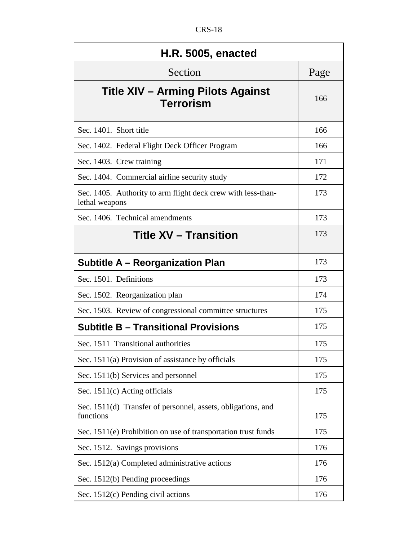| n<br>יי |
|---------|
|---------|

| <b>H.R. 5005, enacted</b>                                                      |      |
|--------------------------------------------------------------------------------|------|
| Section                                                                        | Page |
| <b>Title XIV - Arming Pilots Against</b><br><b>Terrorism</b>                   | 166  |
| Sec. 1401. Short title                                                         | 166  |
| Sec. 1402. Federal Flight Deck Officer Program                                 | 166  |
| Sec. 1403. Crew training                                                       | 171  |
| Sec. 1404. Commercial airline security study                                   | 172  |
| Sec. 1405. Authority to arm flight deck crew with less-than-<br>lethal weapons | 173  |
| Sec. 1406. Technical amendments                                                | 173  |
| <b>Title XV - Transition</b>                                                   | 173  |
| Subtitle A – Reorganization Plan                                               | 173  |
| Sec. 1501. Definitions                                                         | 173  |
| Sec. 1502. Reorganization plan                                                 | 174  |
| Sec. 1503. Review of congressional committee structures                        | 175  |
| <b>Subtitle B - Transitional Provisions</b>                                    | 175  |
| Sec. 1511 Transitional authorities                                             | 175  |
| Sec. 1511(a) Provision of assistance by officials                              | 175  |
| Sec. 1511(b) Services and personnel                                            | 175  |
| Sec. $1511(c)$ Acting officials                                                | 175  |
| Sec. 1511(d) Transfer of personnel, assets, obligations, and<br>functions      | 175  |
| Sec. 1511(e) Prohibition on use of transportation trust funds                  | 175  |
| Sec. 1512. Savings provisions                                                  | 176  |
| Sec. 1512(a) Completed administrative actions                                  | 176  |
| Sec. 1512(b) Pending proceedings                                               | 176  |
| Sec. 1512(c) Pending civil actions                                             | 176  |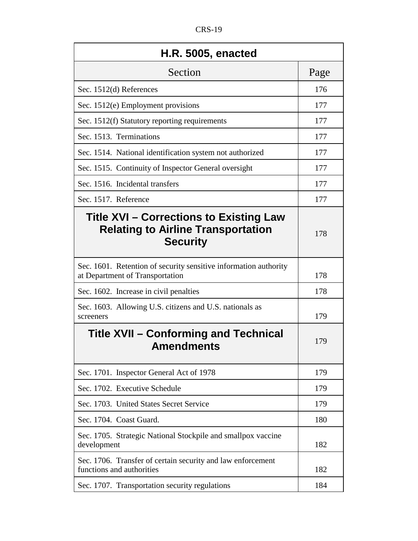| <b>H.R. 5005, enacted</b>                                                                                      |      |
|----------------------------------------------------------------------------------------------------------------|------|
| Section                                                                                                        | Page |
| Sec. 1512(d) References                                                                                        | 176  |
| Sec. 1512(e) Employment provisions                                                                             | 177  |
| Sec. 1512(f) Statutory reporting requirements                                                                  | 177  |
| Sec. 1513. Terminations                                                                                        | 177  |
| Sec. 1514. National identification system not authorized                                                       | 177  |
| Sec. 1515. Continuity of Inspector General oversight                                                           | 177  |
| Sec. 1516. Incidental transfers                                                                                | 177  |
| Sec. 1517. Reference                                                                                           | 177  |
| <b>Title XVI – Corrections to Existing Law</b><br><b>Relating to Airline Transportation</b><br><b>Security</b> | 178  |
| Sec. 1601. Retention of security sensitive information authority<br>at Department of Transportation            | 178  |
| Sec. 1602. Increase in civil penalties                                                                         | 178  |
| Sec. 1603. Allowing U.S. citizens and U.S. nationals as<br>screeners                                           | 179  |
| Title XVII – Conforming and Technical<br>Amendments                                                            | 179  |
| Sec. 1701. Inspector General Act of 1978                                                                       | 179  |
| Sec. 1702. Executive Schedule                                                                                  | 179  |
| Sec. 1703. United States Secret Service                                                                        | 179  |
| Sec. 1704. Coast Guard.                                                                                        | 180  |
| Sec. 1705. Strategic National Stockpile and smallpox vaccine<br>development                                    | 182  |
| Sec. 1706. Transfer of certain security and law enforcement<br>functions and authorities                       | 182  |
| Sec. 1707. Transportation security regulations                                                                 | 184  |